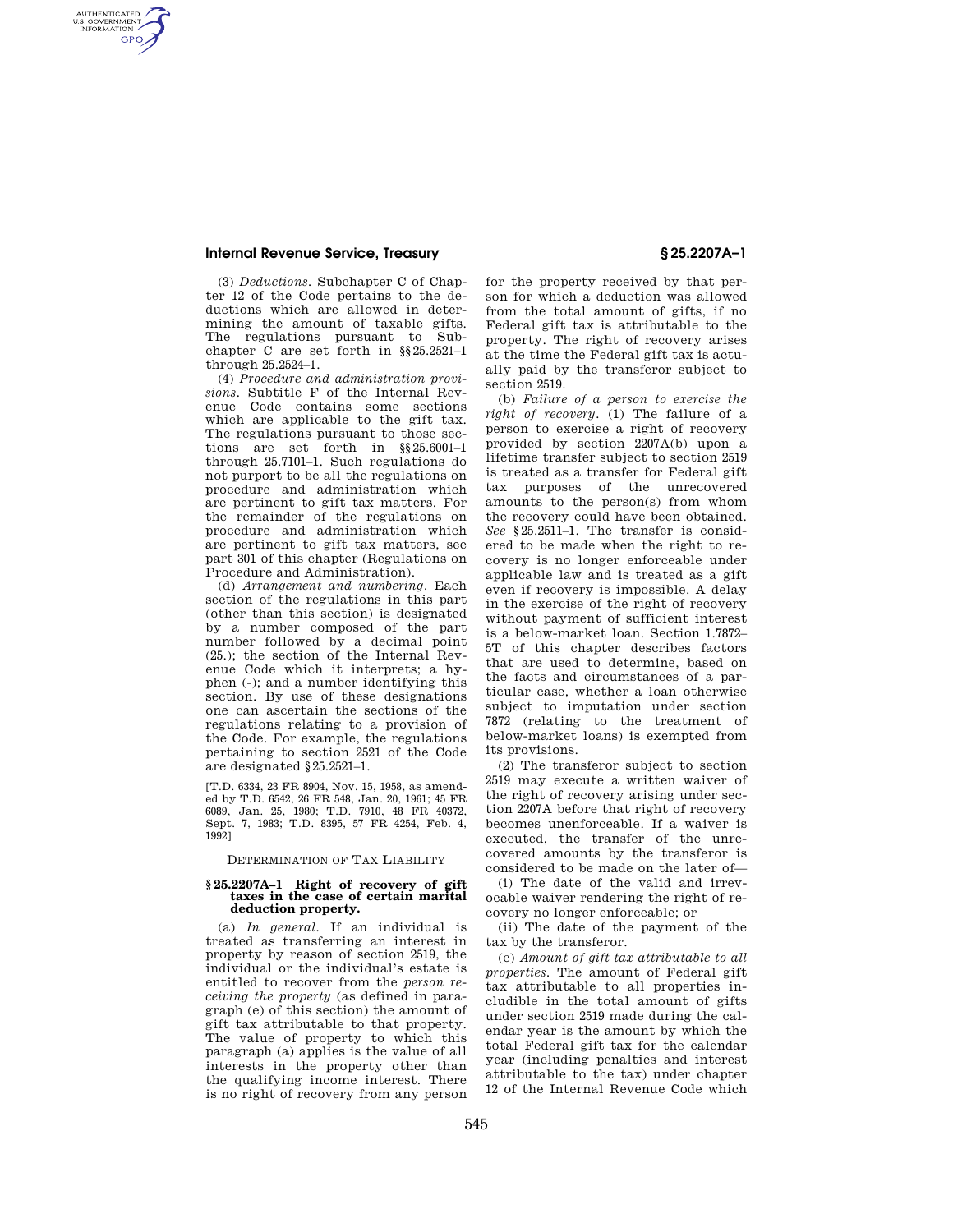## **Internal Revenue Service, Treasury § 25.2207A–1**

AUTHENTICATED<br>U.S. GOVERNMENT<br>INFORMATION **GPO** 

> (3) *Deductions.* Subchapter C of Chapter 12 of the Code pertains to the deductions which are allowed in determining the amount of taxable gifts. The regulations pursuant to Subchapter C are set forth in §§25.2521–1 through 25.2524–1.

> (4) *Procedure and administration provisions.* Subtitle F of the Internal Revenue Code contains some sections which are applicable to the gift tax. The regulations pursuant to those sections are set forth in §§25.6001–1 through 25.7101–1. Such regulations do not purport to be all the regulations on procedure and administration which are pertinent to gift tax matters. For the remainder of the regulations on procedure and administration which are pertinent to gift tax matters, see part 301 of this chapter (Regulations on Procedure and Administration).

> (d) *Arrangement and numbering.* Each section of the regulations in this part (other than this section) is designated by a number composed of the part number followed by a decimal point (25.); the section of the Internal Revenue Code which it interprets; a hyphen (-); and a number identifying this section. By use of these designations one can ascertain the sections of the regulations relating to a provision of the Code. For example, the regulations pertaining to section 2521 of the Code are designated §25.2521–1.

[T.D. 6334, 23 FR 8904, Nov. 15, 1958, as amended by T.D. 6542, 26 FR 548, Jan. 20, 1961; 45 FR 6089, Jan. 25, 1980; T.D. 7910, 48 FR 40372, Sept. 7, 1983; T.D. 8395, 57 FR 4254, Feb. 4, 1992]

DETERMINATION OF TAX LIABILITY

### **§ 25.2207A–1 Right of recovery of gift taxes in the case of certain marital deduction property.**

(a) *In general.* If an individual is treated as transferring an interest in property by reason of section 2519, the individual or the individual's estate is entitled to recover from the *person receiving the property* (as defined in paragraph (e) of this section) the amount of gift tax attributable to that property. The value of property to which this paragraph (a) applies is the value of all interests in the property other than the qualifying income interest. There is no right of recovery from any person

for the property received by that person for which a deduction was allowed from the total amount of gifts, if no Federal gift tax is attributable to the property. The right of recovery arises at the time the Federal gift tax is actually paid by the transferor subject to section 2519.

(b) *Failure of a person to exercise the right of recovery.* (1) The failure of a person to exercise a right of recovery provided by section 2207A(b) upon a lifetime transfer subject to section 2519 is treated as a transfer for Federal gift tax purposes of the unrecovered amounts to the person(s) from whom the recovery could have been obtained. *See* §25.2511–1. The transfer is considered to be made when the right to recovery is no longer enforceable under applicable law and is treated as a gift even if recovery is impossible. A delay in the exercise of the right of recovery without payment of sufficient interest is a below-market loan. Section 1.7872– 5T of this chapter describes factors that are used to determine, based on the facts and circumstances of a particular case, whether a loan otherwise subject to imputation under section 7872 (relating to the treatment of below-market loans) is exempted from its provisions.

(2) The transferor subject to section 2519 may execute a written waiver of the right of recovery arising under section 2207A before that right of recovery becomes unenforceable. If a waiver is executed, the transfer of the unrecovered amounts by the transferor is considered to be made on the later of—

(i) The date of the valid and irrevocable waiver rendering the right of recovery no longer enforceable; or

(ii) The date of the payment of the tax by the transferor.

(c) *Amount of gift tax attributable to all properties.* The amount of Federal gift tax attributable to all properties includible in the total amount of gifts under section 2519 made during the calendar year is the amount by which the total Federal gift tax for the calendar year (including penalties and interest attributable to the tax) under chapter 12 of the Internal Revenue Code which